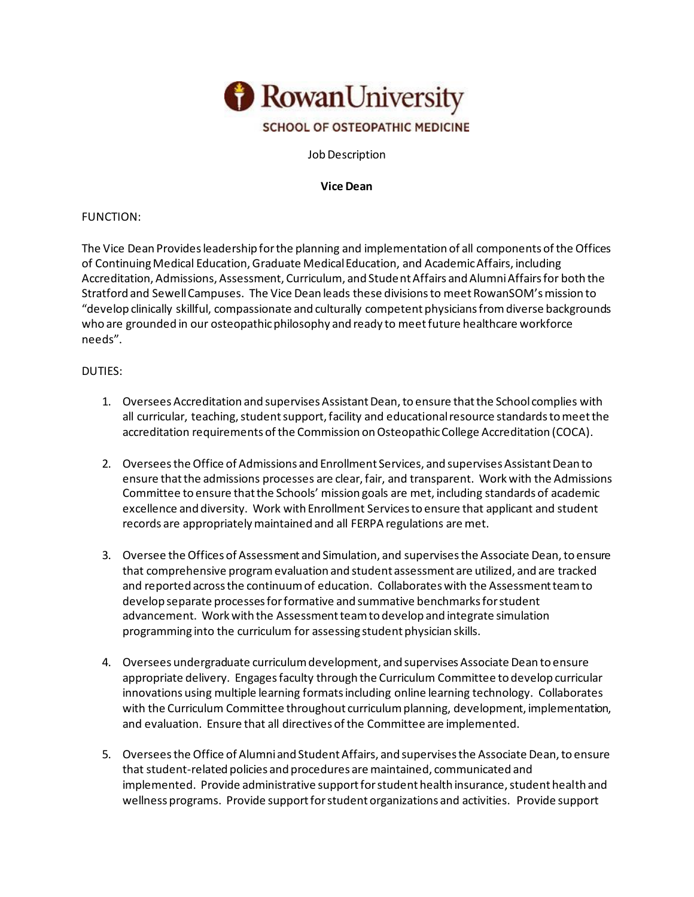

Job Description

**Vice Dean**

## FUNCTION:

The Vice Dean Provides leadership for the planning and implementation of all components of the Offices of Continuing Medical Education, Graduate Medical Education, and Academic Affairs, including Accreditation, Admissions, Assessment, Curriculum, and Student Affairs and Alumni Affairs for both the Stratford and Sewell Campuses. The Vice Dean leads these divisions to meet RowanSOM's mission to "develop clinically skillful, compassionate and culturally competent physicians from diverse backgrounds who are grounded in our osteopathic philosophy and ready to meet future healthcare workforce needs".

## DUTIES:

- 1. Oversees Accreditation and supervises Assistant Dean, to ensure that the School complies with all curricular, teaching, student support, facility and educational resource standards to meet the accreditation requirements of the Commission on Osteopathic College Accreditation (COCA).
- 2. Oversees the Office of Admissions and Enrollment Services, and supervises Assistant Dean to ensure that the admissions processes are clear, fair, and transparent. Work with the Admissions Committee to ensure that the Schools' mission goals are met, including standards of academic excellence and diversity. Work with Enrollment Services to ensure that applicant and student records are appropriately maintained and all FERPA regulations are met.
- 3. Oversee the Offices of Assessment and Simulation, and supervises the Associate Dean, to ensure that comprehensive program evaluation and student assessment are utilized, and are tracked and reported across the continuum of education. Collaborates with the Assessment team to develop separate processes for formative and summative benchmarks for student advancement. Work with the Assessment team to develop and integrate simulation programming into the curriculum for assessing student physician skills.
- 4. Oversees undergraduate curriculum development, and supervises Associate Dean to ensure appropriate delivery. Engages faculty through the Curriculum Committee to develop curricular innovations using multiple learning formats including online learning technology. Collaborates with the Curriculum Committee throughout curriculum planning, development, implementation, and evaluation. Ensure that all directives of the Committee are implemented.
- 5. Oversees the Office of Alumni and Student Affairs, and supervises the Associate Dean, to ensure that student-related policies and procedures are maintained, communicated and implemented. Provide administrative support for student health insurance, student health and wellness programs. Provide support for student organizations and activities. Provide support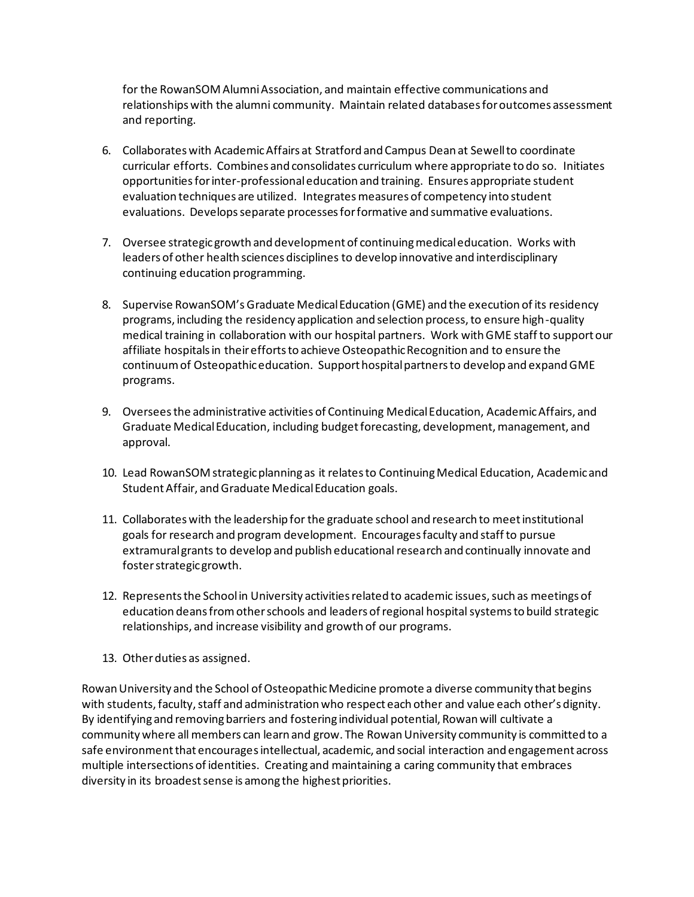for the RowanSOM Alumni Association, and maintain effective communications and relationships with the alumni community. Maintain related databases for outcomes assessment and reporting.

- 6. Collaborates with Academic Affairs at Stratford and Campus Dean at Sewell to coordinate curricular efforts. Combines and consolidates curriculum where appropriate to do so. Initiates opportunities for inter-professional education and training. Ensures appropriate student evaluation techniques are utilized. Integrates measures of competency into student evaluations. Develops separate processes for formative and summative evaluations.
- 7. Oversee strategic growth and development of continuing medical education. Works with leaders of other health sciences disciplines to develop innovative and interdisciplinary continuing education programming.
- 8. Supervise RowanSOM's Graduate Medical Education (GME) and the execution of its residency programs, including the residency application and selection process, to ensure high-quality medical training in collaboration with our hospital partners. Work with GME staff to support our affiliate hospitals in their efforts to achieve Osteopathic Recognition and to ensure the continuum of Osteopathic education. Support hospital partners to develop and expand GME programs.
- 9. Oversees the administrative activities of Continuing Medical Education, Academic Affairs, and Graduate Medical Education, including budget forecasting, development, management, and approval.
- 10. Lead RowanSOM strategic planning as it relates to Continuing Medical Education, Academic and Student Affair, and Graduate Medical Education goals.
- 11. Collaborates with the leadership for the graduate school and research to meet institutional goals for research and program development. Encourages faculty and staff to pursue extramural grants to develop and publish educational research and continually innovate and foster strategic growth.
- 12. Represents the School in University activities related to academic issues, such as meetings of education deans from other schools and leaders of regional hospital systems to build strategic relationships, and increase visibility and growth of our programs.
- 13. Other duties as assigned.

Rowan University and the School of Osteopathic Medicine promote a diverse community that begins with students, faculty, staff and administration who respect each other and value each other's dignity. By identifying and removing barriers and fostering individual potential, Rowan will cultivate a community where all members can learn and grow. The Rowan University community is committed to a safe environment that encourages intellectual, academic, and social interaction and engagement across multiple intersections of identities. Creating and maintaining a caring community that embraces diversity in its broadest sense is among the highest priorities.